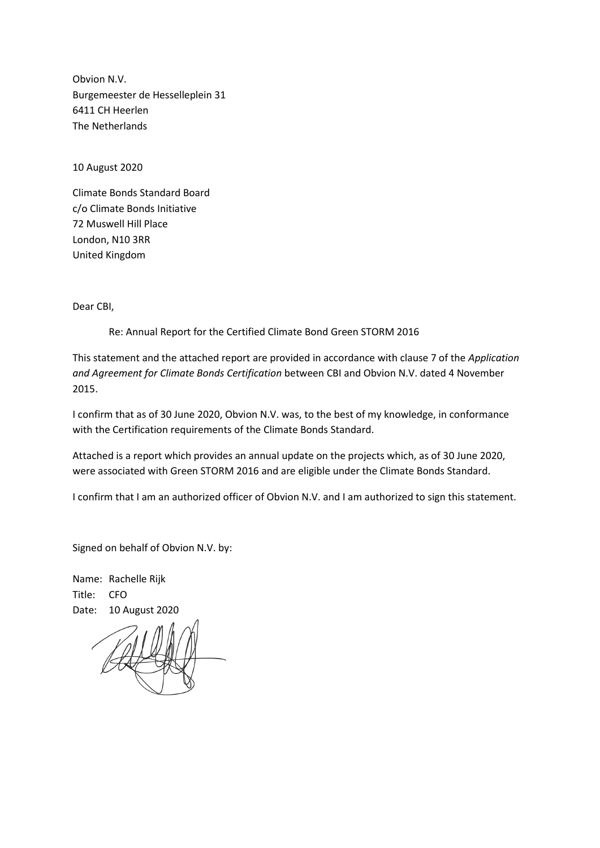Obvion N.V. Burgemeester de Hesselleplein 31 6411 CH Heerlen The Netherlands

10 August 2020

Climate Bonds Standard Board c/o Climate Bonds Initiative 72 Muswell Hill Place London, N10 3RR United Kingdom

Dear CBI,

Re: Annual Report for the Certified Climate Bond Green STORM 2016

This statement and the attached report are provided in accordance with clause 7 of the *Application and Agreement for Climate Bonds Certification* between CBI and Obvion N.V. dated 4 November 2015.

I confirm that as of 30 June 2020, Obvion N.V. was, to the best of my knowledge, in conformance with the Certification requirements of the Climate Bonds Standard.

Attached is a report which provides an annual update on the projects which, as of 30 June 2020, were associated with Green STORM 2016 and are eligible under the Climate Bonds Standard.

I confirm that I am an authorized officer of Obvion N.V. and I am authorized to sign this statement.

Signed on behalf of Obvion N.V. by:

Name: Rachelle Rijk Title: CFO Date: 10 August 2020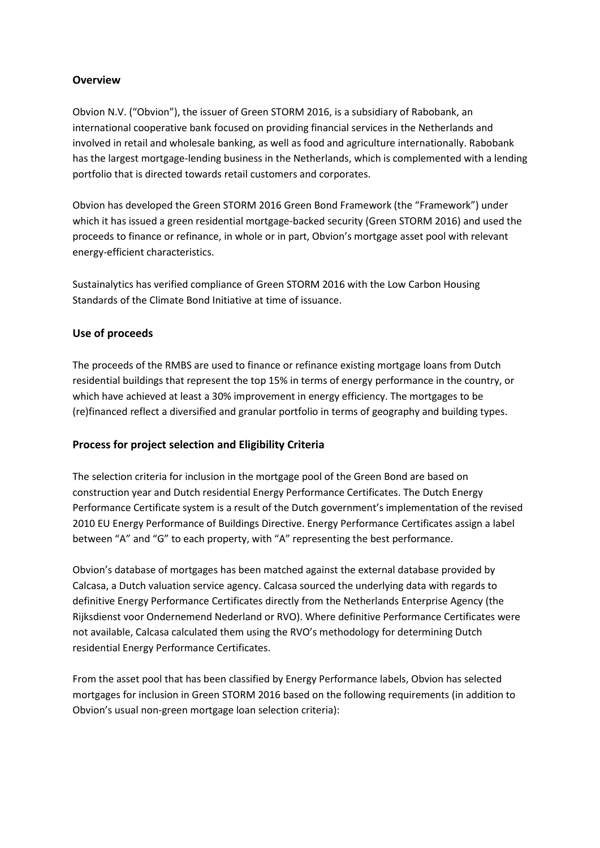## **Overview**

Obvion N.V. ("Obvion"), the issuer of Green STORM 2016, is a subsidiary of Rabobank, an international cooperative bank focused on providing financial services in the Netherlands and involved in retail and wholesale banking, as well as food and agriculture internationally. Rabobank has the largest mortgage-lending business in the Netherlands, which is complemented with a lending portfolio that is directed towards retail customers and corporates.

Obvion has developed the Green STORM 2016 Green Bond Framework (the "Framework") under which it has issued a green residential mortgage-backed security (Green STORM 2016) and used the proceeds to finance or refinance, in whole or in part, Obvion's mortgage asset pool with relevant energy-efficient characteristics.

Sustainalytics has verified compliance of Green STORM 2016 with the Low Carbon Housing Standards of the Climate Bond Initiative at time of issuance.

## **Use of proceeds**

The proceeds of the RMBS are used to finance or refinance existing mortgage loans from Dutch residential buildings that represent the top 15% in terms of energy performance in the country, or which have achieved at least a 30% improvement in energy efficiency. The mortgages to be (re)financed reflect a diversified and granular portfolio in terms of geography and building types.

## **Process for project selection and Eligibility Criteria**

The selection criteria for inclusion in the mortgage pool of the Green Bond are based on construction year and Dutch residential Energy Performance Certificates. The Dutch Energy Performance Certificate system is a result of the Dutch government's implementation of the revised 2010 EU Energy Performance of Buildings Directive. Energy Performance Certificates assign a label between "A" and "G" to each property, with "A" representing the best performance.

Obvion's database of mortgages has been matched against the external database provided by Calcasa, a Dutch valuation service agency. Calcasa sourced the underlying data with regards to definitive Energy Performance Certificates directly from the Netherlands Enterprise Agency (the Rijksdienst voor Ondernemend Nederland or RVO). Where definitive Performance Certificates were not available, Calcasa calculated them using the RVO's methodology for determining Dutch residential Energy Performance Certificates.

From the asset pool that has been classified by Energy Performance labels, Obvion has selected mortgages for inclusion in Green STORM 2016 based on the following requirements (in addition to Obvion's usual non-green mortgage loan selection criteria):